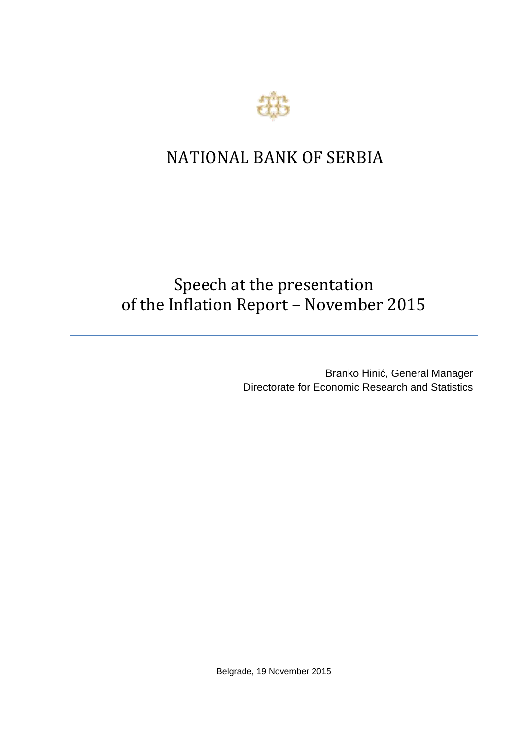

## NATIONAL BANK OF SERBIA

## Speech at the presentation of the Inflation Report – November 2015

Branko Hinić, General Manager Directorate for Economic Research and Statistics

Belgrade, 19 November 2015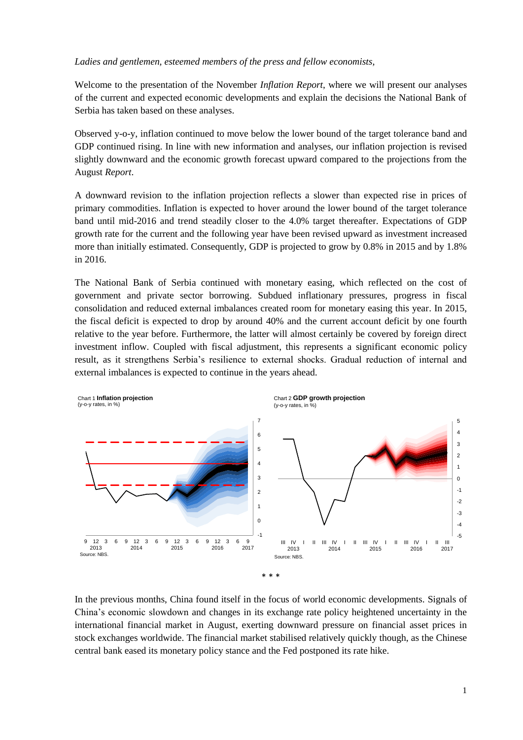## *Ladies and gentlemen, esteemed members of the press and fellow economists,*

Welcome to the presentation of the November *Inflation Report*, where we will present our analyses of the current and expected economic developments and explain the decisions the National Bank of Serbia has taken based on these analyses.

Observed y-o-y, inflation continued to move below the lower bound of the target tolerance band and GDP continued rising. In line with new information and analyses, our inflation projection is revised slightly downward and the economic growth forecast upward compared to the projections from the August *Report*.

A downward revision to the inflation projection reflects a slower than expected rise in prices of primary commodities. Inflation is expected to hover around the lower bound of the target tolerance band until mid-2016 and trend steadily closer to the 4.0% target thereafter. Expectations of GDP growth rate for the current and the following year have been revised upward as investment increased more than initially estimated. Consequently, GDP is projected to grow by 0.8% in 2015 and by 1.8% in 2016.

The National Bank of Serbia continued with monetary easing, which reflected on the cost of government and private sector borrowing. Subdued inflationary pressures, progress in fiscal consolidation and reduced external imbalances created room for monetary easing this year. In 2015, the fiscal deficit is expected to drop by around 40% and the current account deficit by one fourth relative to the year before. Furthermore, the latter will almost certainly be covered by foreign direct investment inflow. Coupled with fiscal adjustment, this represents a significant economic policy result, as it strengthens Serbia's resilience to external shocks. Gradual reduction of internal and external imbalances is expected to continue in the years ahead.



In the previous months, China found itself in the focus of world economic developments. Signals of China's economic slowdown and changes in its exchange rate policy heightened uncertainty in the international financial market in August, exerting downward pressure on financial asset prices in stock exchanges worldwide. The financial market stabilised relatively quickly though, as the Chinese central bank eased its monetary policy stance and the Fed postponed its rate hike.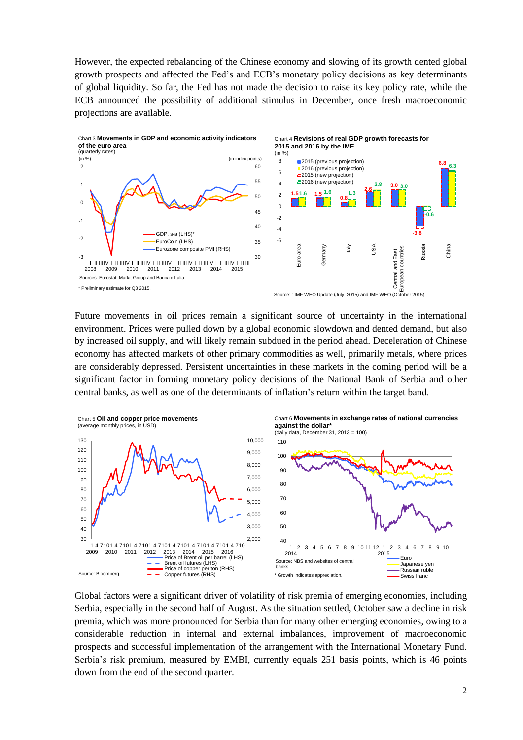However, the expected rebalancing of the Chinese economy and slowing of its growth dented global growth prospects and affected the Fed's and ECB's monetary policy decisions as key determinants of global liquidity. So far, the Fed has not made the decision to raise its key policy rate, while the ECB announced the possibility of additional stimulus in December, once fresh macroeconomic projections are available.



Future movements in oil prices remain a significant source of uncertainty in the international environment. Prices were pulled down by a global economic slowdown and dented demand, but also by increased oil supply, and will likely remain subdued in the period ahead. Deceleration of Chinese economy has affected markets of other primary commodities as well, primarily metals, where prices are considerably depressed. Persistent uncertainties in these markets in the coming period will be a significant factor in forming monetary policy decisions of the National Bank of Serbia and other central banks, as well as one of the determinants of inflation's return within the target band.



Global factors were a significant driver of volatility of risk premia of emerging economies, including Serbia, especially in the second half of August. As the situation settled, October saw a decline in risk premia, which was more pronounced for Serbia than for many other emerging economies, owing to a considerable reduction in internal and external imbalances, improvement of macroeconomic prospects and successful implementation of the arrangement with the International Monetary Fund. Serbia's risk premium, measured by EMBI, currently equals 251 basis points, which is 46 points down from the end of the second quarter.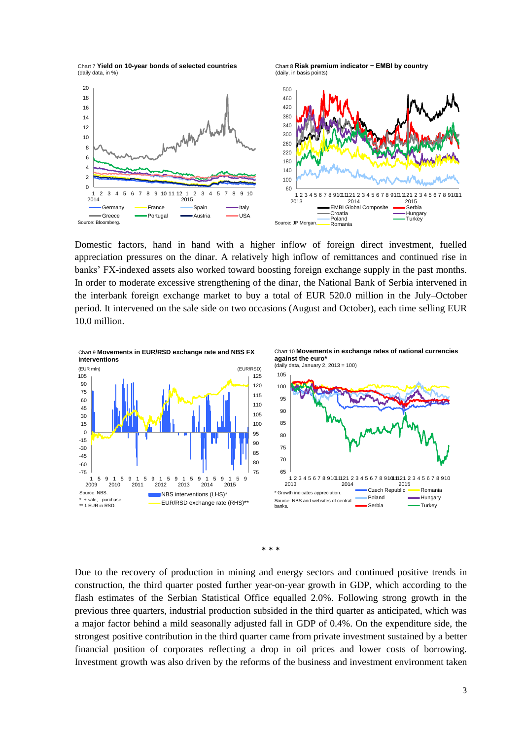Chart 7 **Yield on 10-year bonds of selected countries** (daily data, in %)

Chart 8 **Risk premium indicator − EMBI by country**  (daily, in basis points)



Domestic factors, hand in hand with a higher inflow of foreign direct investment, fuelled appreciation pressures on the dinar. A relatively high inflow of remittances and continued rise in banks' FX-indexed assets also worked toward boosting foreign exchange supply in the past months. In order to moderate excessive strengthening of the dinar, the National Bank of Serbia intervened in the interbank foreign exchange market to buy a total of EUR 520.0 million in the July–October period. It intervened on the sale side on two occasions (August and October), each time selling EUR 10.0 million.





Due to the recovery of production in mining and energy sectors and continued positive trends in construction, the third quarter posted further year-on-year growth in GDP, which according to the flash estimates of the Serbian Statistical Office equalled 2.0%. Following strong growth in the previous three quarters, industrial production subsided in the third quarter as anticipated, which was a major factor behind a mild seasonally adjusted fall in GDP of 0.4%. On the expenditure side, the strongest positive contribution in the third quarter came from private investment sustained by a better financial position of corporates reflecting a drop in oil prices and lower costs of borrowing. Investment growth was also driven by the reforms of the business and investment environment taken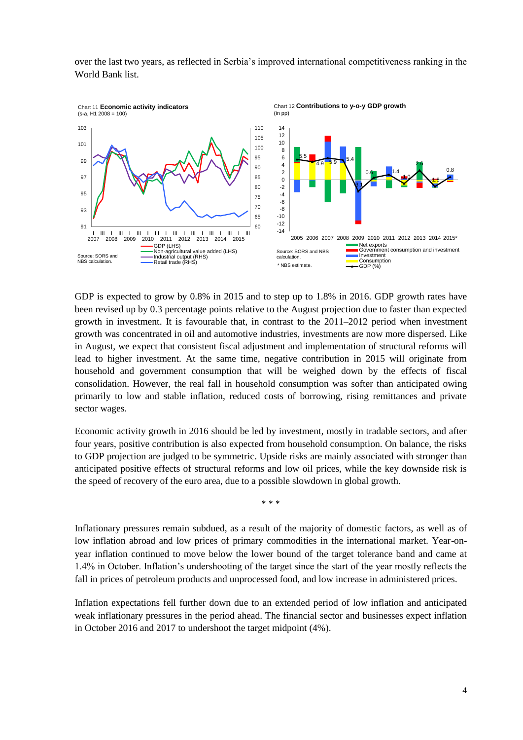over the last two years, as reflected in Serbia's improved international competitiveness ranking in the World Bank list.



GDP is expected to grow by 0.8% in 2015 and to step up to 1.8% in 2016. GDP growth rates have been revised up by 0.3 percentage points relative to the August projection due to faster than expected growth in investment. It is favourable that, in contrast to the 2011–2012 period when investment growth was concentrated in oil and automotive industries, investments are now more dispersed. Like in August, we expect that consistent fiscal adjustment and implementation of structural reforms will lead to higher investment. At the same time, negative contribution in 2015 will originate from household and government consumption that will be weighed down by the effects of fiscal consolidation. However, the real fall in household consumption was softer than anticipated owing primarily to low and stable inflation, reduced costs of borrowing, rising remittances and private sector wages.

Economic activity growth in 2016 should be led by investment, mostly in tradable sectors, and after four years, positive contribution is also expected from household consumption. On balance, the risks to GDP projection are judged to be symmetric. Upside risks are mainly associated with stronger than anticipated positive effects of structural reforms and low oil prices, while the key downside risk is the speed of recovery of the euro area, due to a possible slowdown in global growth.

\* \* \*

Inflationary pressures remain subdued, as a result of the majority of domestic factors, as well as of low inflation abroad and low prices of primary commodities in the international market. Year-onyear inflation continued to move below the lower bound of the target tolerance band and came at 1.4% in October. Inflation's undershooting of the target since the start of the year mostly reflects the fall in prices of petroleum products and unprocessed food, and low increase in administered prices.

Inflation expectations fell further down due to an extended period of low inflation and anticipated weak inflationary pressures in the period ahead. The financial sector and businesses expect inflation in October 2016 and 2017 to undershoot the target midpoint (4%).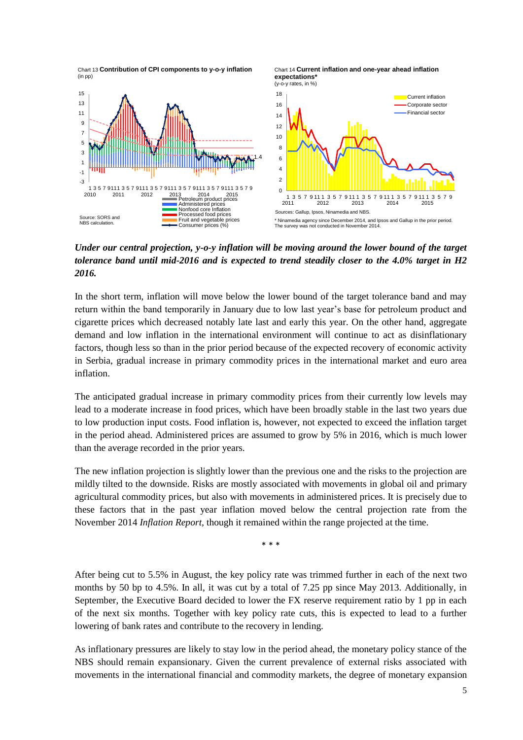Chart 13 **Contribution of CPI components to y-o-y inflation** (in pp)





*Under our central projection, y-o-y inflation will be moving around the lower bound of the target tolerance band until mid-2016 and is expected to trend steadily closer to the 4.0% target in H2 2016.*

In the short term, inflation will move below the lower bound of the target tolerance band and may return within the band temporarily in January due to low last year's base for petroleum product and cigarette prices which decreased notably late last and early this year. On the other hand, aggregate demand and low inflation in the international environment will continue to act as disinflationary factors, though less so than in the prior period because of the expected recovery of economic activity in Serbia, gradual increase in primary commodity prices in the international market and euro area inflation.

The anticipated gradual increase in primary commodity prices from their currently low levels may lead to a moderate increase in food prices, which have been broadly stable in the last two years due to low production input costs. Food inflation is, however, not expected to exceed the inflation target in the period ahead. Administered prices are assumed to grow by 5% in 2016, which is much lower than the average recorded in the prior years.

The new inflation projection is slightly lower than the previous one and the risks to the projection are mildly tilted to the downside. Risks are mostly associated with movements in global oil and primary agricultural commodity prices, but also with movements in administered prices. It is precisely due to these factors that in the past year inflation moved below the central projection rate from the November 2014 *Inflation Report,* though it remained within the range projected at the time.

\* \* \*

After being cut to 5.5% in August, the key policy rate was trimmed further in each of the next two months by 50 bp to 4.5%. In all, it was cut by a total of 7.25 pp since May 2013. Additionally, in September, the Executive Board decided to lower the FX reserve requirement ratio by 1 pp in each of the next six months. Together with key policy rate cuts, this is expected to lead to a further lowering of bank rates and contribute to the recovery in lending.

As inflationary pressures are likely to stay low in the period ahead, the monetary policy stance of the NBS should remain expansionary. Given the current prevalence of external risks associated with movements in the international financial and commodity markets, the degree of monetary expansion